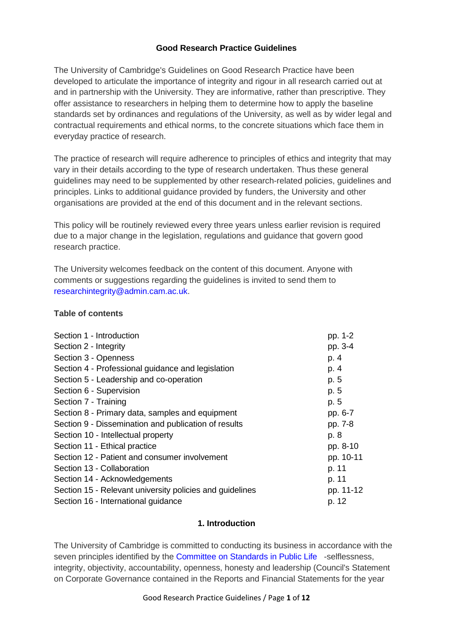### **Good Research Practice Guidelines**

The University of Cambridge's Guidelines on Good Research Practice have been developed to articulate the importance of integrity and rigour in all research carried out at and in partnership with the University. They are informative, rather than prescriptive. They offer assistance to researchers in helping them to determine how to apply the baseline standards set by ordinances and regulations of the University, as well as by wider legal and contractual requirements and ethical norms, to the concrete situations which face them in everyday practice of research.

The practice of research will require adherence to principles of ethics and integrity that may vary in their details according to the type of research undertaken. Thus these general guidelines may need to be supplemented by other research-related policies, guidelines and principles. Links to additional guidance provided by funders, the University and other organisations are provided at the end of this document and in the relevant sections.

This policy will be routinely reviewed every three years unless earlier revision is required due to a major change in the legislation, regulations and guidance that govern good research practice.

The University welcomes feedback on the content of this document. Anyone with comments or suggestions regarding the guidelines is invited to send them to [researchintegrity@admin.cam.ac.uk.](mailto:researchintegrity@admin.cam.ac.uk)

#### **Table of contents**

| Section 1 - Introduction                                 | pp. 1-2   |
|----------------------------------------------------------|-----------|
| Section 2 - Integrity                                    | pp. 3-4   |
| Section 3 - Openness                                     | p. 4      |
| Section 4 - Professional guidance and legislation        | p. 4      |
| Section 5 - Leadership and co-operation                  | p. 5      |
| Section 6 - Supervision                                  | p. 5      |
| Section 7 - Training                                     | p. 5      |
| Section 8 - Primary data, samples and equipment          | pp. 6-7   |
| Section 9 - Dissemination and publication of results     | pp. 7-8   |
| Section 10 - Intellectual property                       | p. 8      |
| Section 11 - Ethical practice                            | pp. 8-10  |
| Section 12 - Patient and consumer involvement            | pp. 10-11 |
| Section 13 - Collaboration                               | p. 11     |
| Section 14 - Acknowledgements                            | p. 11     |
| Section 15 - Relevant university policies and guidelines | pp. 11-12 |
| Section 16 - International guidance                      | p. 12     |

#### **1. Introduction**

The University of Cambridge is committed to conducting its business in accordance with the seven principles identified by the [Committee](https://www.gov.uk/government/publications/the-7-principles-of-public-life) on Standards in Public Life -selflessness, integrity, objectivity, accountability, openness, honesty and leadership (Council's Statement on Corporate Governance contained in the Reports and Financial Statements for the year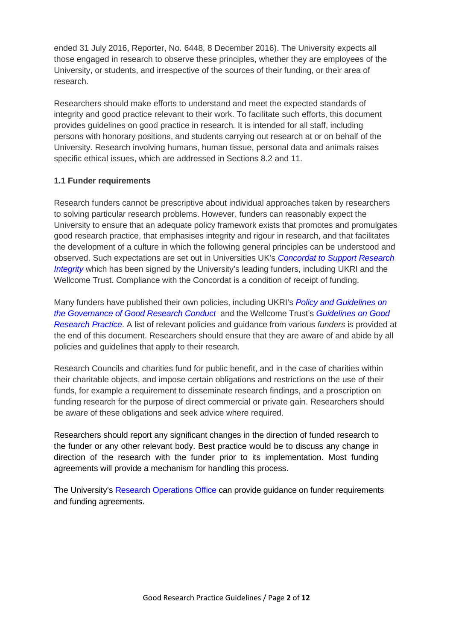ended 31 July 2016, Reporter, No. 6448, 8 December 2016). The University expects all those engaged in research to observe these principles, whether they are employees of the University, or students, and irrespective of the sources of their funding, or their area of research.

Researchers should make efforts to understand and meet the expected standards of integrity and good practice relevant to their work. To facilitate such efforts, this document provides guidelines on good practice in research*.* It is intended for all staff, including persons with honorary positions, and students carrying out research at or on behalf of the University. Research involving humans, human tissue, personal data and animals raises specific ethical issues, which are addressed in Sections 8.2 and 11.

### **1.1 Funder requirements**

Research funders cannot be prescriptive about individual approaches taken by researchers to solving particular research problems. However, funders can reasonably expect the University to ensure that an adequate policy framework exists that promotes and promulgates good research practice, that emphasises integrity and rigour in research, and that facilitates the development of a culture in which the following general principles can be understood and observed. Such expectations are set out in Universities UK's *[Concordat to Support Research](https://www.universitiesuk.ac.uk/policy-and-analysis/reports/Documents/2019/the-concordat-to-support-research-integrity.pdf)  [Integrity](https://www.universitiesuk.ac.uk/policy-and-analysis/reports/Documents/2019/the-concordat-to-support-research-integrity.pdf)* which has been signed by the University's leading funders, including UKRI and the Wellcome Trust. Compliance with the Concordat is a condition of receipt of funding.

Many funders have published their own policies, including UKRI's *[Policy and Guidelines on](https://www.ukri.org/about-us/policies-and-standards/research-integrity/)  [the Governance of Good Research Conduct](https://www.ukri.org/about-us/policies-and-standards/research-integrity/)* and the Wellcome Trust's *[Guidelines](http://www.wellcome.ac.uk/About-us/Policy/Policy-and-position-statements/WTD002757.htm) on Good [Research](http://www.wellcome.ac.uk/About-us/Policy/Policy-and-position-statements/WTD002757.htm) Practice*. A list of relevant policies and guidance from various *funders* is provided at the end of this document. Researchers should ensure that they are aware of and abide by all policies and guidelines that apply to their research.

Research Councils and charities fund for public benefit, and in the case of charities within their charitable objects, and impose certain obligations and restrictions on the use of their funds, for example a requirement to disseminate research findings, and a proscription on funding research for the purpose of direct commercial or private gain. Researchers should be aware of these obligations and seek advice where required.

Researchers should report any significant changes in the direction of funded research to the funder or any other relevant body. Best practice would be to discuss any change in direction of the research with the funder prior to its implementation. Most funding agreements will provide a mechanism for handling this process.

The University's [Research Operations Office](https://www.research-operations.admin.cam.ac.uk/) can provide guidance on funder requirements and funding agreements.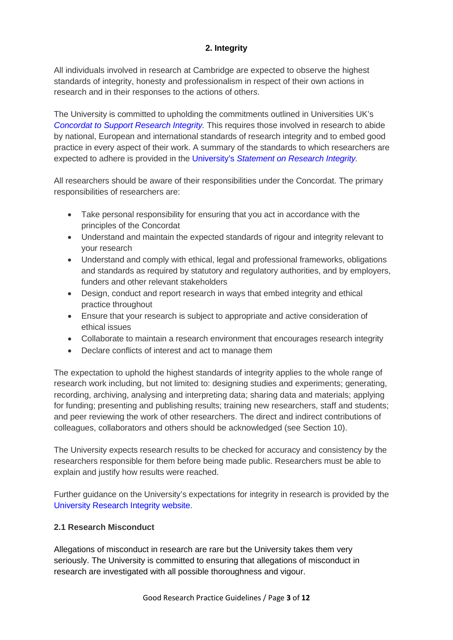# **2. Integrity**

All individuals involved in research at Cambridge are expected to observe the highest standards of integrity, honesty and professionalism in respect of their own actions in research and in their responses to the actions of other*s*.

The University is committed to upholding the commitments outlined in Universities UK's *Concordat to Support Research Integrity*. This requires those involved in research to abide by national, European and international standards of research integrity and to embed good practice in every aspect of their work. A summary of the standards to which researchers are expected to adhere is provided in the University's *[Statement on Research Integrity.](http://www.research-integrity.admin.cam.ac.uk/research-integrity/research-integrity-statement)* 

All researchers should be aware of their responsibilities under the Concordat. The primary responsibilities of researchers are:

- Take personal responsibility for ensuring that you act in accordance with the principles of the Concordat
- Understand and maintain the expected standards of rigour and integrity relevant to your research
- Understand and comply with ethical, legal and professional frameworks, obligations and standards as required by statutory and regulatory authorities, and by employers, funders and other relevant stakeholders
- Design, conduct and report research in ways that embed integrity and ethical practice throughout
- Ensure that your research is subject to appropriate and active consideration of ethical issues
- Collaborate to maintain a research environment that encourages research integrity
- Declare conflicts of interest and act to manage them

The expectation to uphold the highest standards of integrity applies to the whole range of research work including, but not limited to: designing studies and experiments; generating, recording, archiving, analysing and interpreting data; sharing data and materials; applying for funding; presenting and publishing results; training new researchers, staff and students; and peer reviewing the work of other researchers. The direct and indirect contributions of colleagues, collaborators and others should be acknowledged (see Section 10).

The University expects research results to be checked for accuracy and consistency by the researchers responsible for them before being made public. Researchers must be able to explain and justify how results were reached.

Further guidance on the University's expectations for integrity in research is provided by the [University Research Integrity website.](http://www.research-integrity.admin.cam.ac.uk/)

## **2.1 Research Misconduct**

Allegations of misconduct in research are rare but the University takes them very seriously. The University is committed to ensuring that allegations of misconduct in research are investigated with all possible thoroughness and vigour.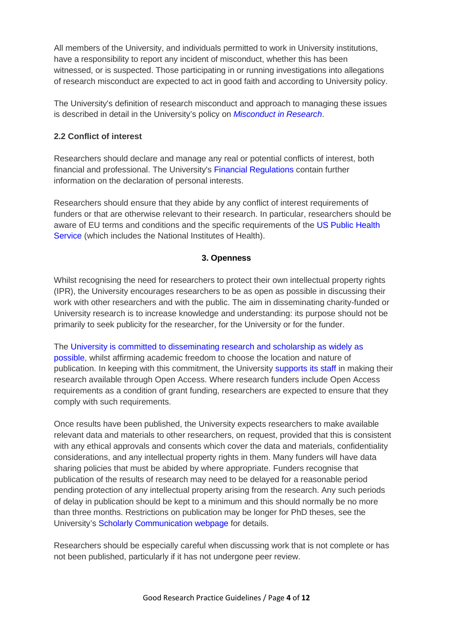All members of the University, and individuals permitted to work in University institutions, have a responsibility to report any incident of misconduct, whether this has been witnessed, or is suspected. Those participating in or running investigations into allegations of research misconduct are expected to act in good faith and according to University policy.

The University's definition of research misconduct and approach to managing these issues is described in detail in the University's policy on *[Misconduct](http://www.research-integrity.admin.cam.ac.uk/research-misconduct) in Research*.

## **2.2 Conflict of interest**

Researchers should declare and manage any real or potential conflicts of interest, both financial and professional. The University's Financial [Regulations](https://www.finance.admin.cam.ac.uk/policy-and-procedures/financial-regulations) contain further information on the declaration of personal interests.

Researchers should ensure that they abide by any conflict of interest requirements of funders or that are otherwise relevant to their research. In particular, researchers should be aware of EU terms and conditions and the specific requirements of the [US Public Health](https://www.research-operations.admin.cam.ac.uk/conflict-interest-us-regulation/conflict-interest-us-funded-research)  [Service](https://www.research-operations.admin.cam.ac.uk/conflict-interest-us-regulation/conflict-interest-us-funded-research) (which includes the National Institutes of Health).

# **3. Openness**

Whilst recognising the need for researchers to protect their own intellectual property rights (IPR), the University encourages researchers to be as open as possible in discussing their work with other researchers and with the public. The aim in disseminating charity-funded or University research is to increase knowledge and understanding: its purpose should not be primarily to seek publicity for the researcher, for the University or for the funder.

The [University is committed to disseminating research and scholarship as widely as](http://www.cam.ac.uk/research/research-at-cambridge/open-access)  [possible,](http://www.cam.ac.uk/research/research-at-cambridge/open-access) whilst affirming academic freedom to choose the location and nature of publication. In keeping with this commitment, the University [supports its staff i](https://www.openaccess.cam.ac.uk/)n making their research available through Open Access. Where research funders include Open Access requirements as a condition of grant funding, researchers are expected to ensure that they comply with such requirements.

Once results have been published, the University expects researchers to make available relevant data and materials to other researchers, on request, provided that this is consistent with any ethical approvals and consents which cover the data and materials, confidentiality considerations, and any intellectual property rights in them. Many funders will have data sharing policies that must be abided by where appropriate. Funders recognise that publication of the results of research may need to be delayed for a reasonable period pending protection of any intellectual property arising from the research. Any such periods of delay in publication should be kept to a minimum and this should normally be no more than three months. Restrictions on publication may be longer for PhD theses, see the University's [Scholarly Communication webpage](https://osc.cam.ac.uk/theses) for details.

Researchers should be especially careful when discussing work that is not complete or has not been published, particularly if it has not undergone peer review.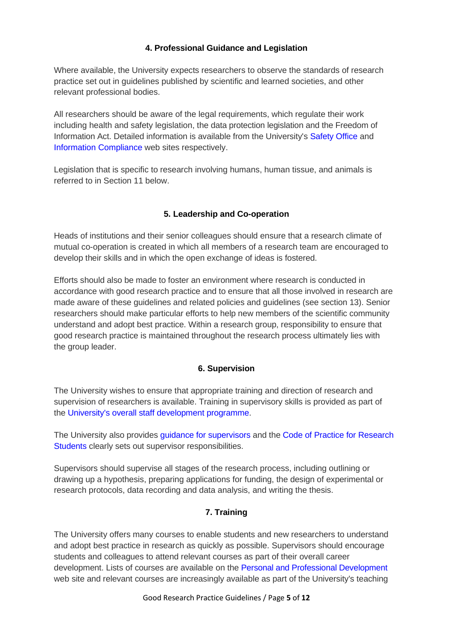# **4. Professional Guidance and Legislation**

Where available, the University expects researchers to observe the standards of research practice set out in guidelines published by scientific and learned societies, and other relevant professional bodies.

All researchers should be aware of the legal requirements, which regulate their work including health and safety legislation, the data protection legislation and the Freedom of Information Act. Detailed information is available from the University's [Safety Office a](http://www.safety.admin.cam.ac.uk/)nd [Information Compliance](https://www.information-compliance.admin.cam.ac.uk/) web sites respectively.

Legislation that is specific to research involving humans, human tissue, and animals is referred to in Section 11 below.

# **5. Leadership and Co-operation**

Heads of institutions and their senior colleagues should ensure that a research climate of mutual co-operation is created in which all members of a research team are encouraged to develop their skills and in which the open exchange of ideas is fostered.

Efforts should also be made to foster an environment where research is conducted in accordance with good research practice and to ensure that all those involved in research are made aware of these guidelines and related policies and guidelines (see section 13). Senior researchers should make particular efforts to help new members of the scientific community understand and adopt best practice. Within a research group, responsibility to ensure that good research practice is maintained throughout the research process ultimately lies with the group leader.

## **6. Supervision**

The University wishes to ensure that appropriate training and direction of research and supervision of researchers is available. Training in supervisory skills is provided as part of the University's overall staff [development](http://www.ppd.admin.cam.ac.uk/) programme.

The University also provides [guidance for supervisors](http://www.student-registry.admin.cam.ac.uk/information-supervisors) and the [Code of Practice for Research](http://www.cambridgestudents.cam.ac.uk/new-students/manage-your-student-information/graduate-students/code)  [Students](http://www.cambridgestudents.cam.ac.uk/new-students/manage-your-student-information/graduate-students/code) clearly sets out supervisor responsibilities.

Supervisors should supervise all stages of the research process, including outlining or drawing up a hypothesis, preparing applications for funding, the design of experimental or research protocols, data recording and data analysis, and writing the thesis.

## **7. Training**

The University offers many courses to enable students and new researchers to understand and adopt best practice in research as quickly as possible. Supervisors should encourage students and colleagues to attend relevant courses as part of their overall career development. Lists of courses are available on the [Personal and Professional Development](http://www.ppd.admin.cam.ac.uk/) web site and relevant courses are increasingly available as part of the University's teaching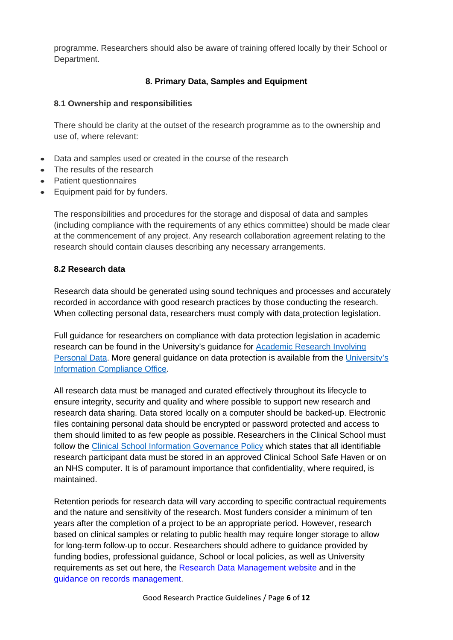programme. Researchers should also be aware of training offered locally by their School or Department.

### **8. Primary Data, Samples and Equipment**

#### **8.1 Ownership and responsibilities**

There should be clarity at the outset of the research programme as to the ownership and use of, where relevant:

- Data and samples used or created in the course of the research
- The results of the research
- Patient questionnaires
- Equipment paid for by funders.

The responsibilities and procedures for the storage and disposal of data and samples (including compliance with the requirements of any ethics committee) should be made clear at the commencement of any project. Any research collaboration agreement relating to the research should contain clauses describing any necessary arrangements.

### **8.2 Research data**

Research data should be generated using sound techniques and processes and accurately recorded in accordance with good research practices by those conducting the research. When collecting personal data, researchers must comply with data protection legislation.

Full guidance for researchers on compliance with data protection legislation in academic research can be found in the University's guidance for [Academic Research Involving](https://www.research-integrity.admin.cam.ac.uk/academic-research-involving-personal-data)  [Personal Data.](https://www.research-integrity.admin.cam.ac.uk/academic-research-involving-personal-data) More general guidance on data protection is available from the [University's](https://www.information-compliance.admin.cam.ac.uk/data-protection)  [Information Compliance Office.](https://www.information-compliance.admin.cam.ac.uk/data-protection)

All research data must be managed and curated effectively throughout its lifecycle to ensure integrity, security and quality and where possible to support new research and research data sharing. Data stored locally on a computer should be backed-up. Electronic files containing personal data should be encrypted or password protected and access to them should limited to as few people as possible. Researchers in the Clinical School must follow the [Clinical School Information Governance Policy](https://researchgovernance.medschl.cam.ac.uk/information-governance-storage-of-research-participant-data/information-governance-policy/) which states that all identifiable research participant data must be stored in an approved Clinical School Safe Haven or on an NHS computer. It is of paramount importance that confidentiality, where required, is maintained.

Retention periods for research data will vary according to specific contractual requirements and the nature and sensitivity of the research. Most funders consider a minimum of ten years after the completion of a project to be an appropriate period. However, research based on clinical samples or relating to public health may require longer storage to allow for long-term follow-up to occur. Researchers should adhere to guidance provided by funding bodies, professional guidance, School or local policies, as well as University requirements as set out here, the [Research Data Management website](https://www.data.cam.ac.uk/) and in the [guidance on records management.](https://www.information-compliance.admin.cam.ac.uk/records-management)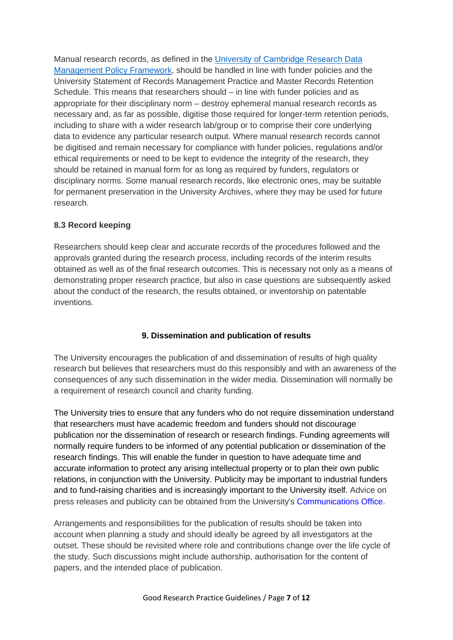Manual research records, as defined in the [University of Cambridge Research Data](https://www.data.cam.ac.uk/university-policy)  [Management Policy Framework,](https://www.data.cam.ac.uk/university-policy) should be handled in line with funder policies and the University Statement of Records Management Practice and Master Records Retention Schedule. This means that researchers should – in line with funder policies and as appropriate for their disciplinary norm – destroy ephemeral manual research records as necessary and, as far as possible, digitise those required for longer-term retention periods, including to share with a wider research lab/group or to comprise their core underlying data to evidence any particular research output. Where manual research records cannot be digitised and remain necessary for compliance with funder policies, regulations and/or ethical requirements or need to be kept to evidence the integrity of the research, they should be retained in manual form for as long as required by funders, regulators or disciplinary norms. Some manual research records, like electronic ones, may be suitable for permanent preservation in the University Archives, where they may be used for future research.

## **8.3 Record keeping**

Researchers should keep clear and accurate records of the procedures followed and the approvals granted during the research process, including records of the interim results obtained as well as of the final research outcomes. This is necessary not only as a means of demonstrating proper research practice, but also in case questions are subsequently asked about the conduct of the research, the results obtained, or inventorship on patentable inventions.

# **9. Dissemination and publication of results**

The University encourages the publication of and dissemination of results of high quality research but believes that researchers must do this responsibly and with an awareness of the consequences of any such dissemination in the wider media. Dissemination will normally be a requirement of research council and charity funding.

The University tries to ensure that any funders who do not require dissemination understand that researchers must have academic freedom and funders should not discourage publication nor the dissemination of research or research findings. Funding agreements will normally require funders to be informed of any potential publication or dissemination of the research findings. This will enable the funder in question to have adequate time and accurate information to protect any arising intellectual property or to plan their own public relations, in conjunction with the University. Publicity may be important to industrial funders and to fund-raising charities and is increasingly important to the University itself. Advice on press releases and publicity can be obtained from the University's [Communications](http://www.communications.cam.ac.uk/) Office.

Arrangements and responsibilities for the publication of results should be taken into account when planning a study and should ideally be agreed by all investigators at the outset. These should be revisited where role and contributions change over the life cycle of the study. Such discussions might include authorship, authorisation for the content of papers, and the intended place of publication.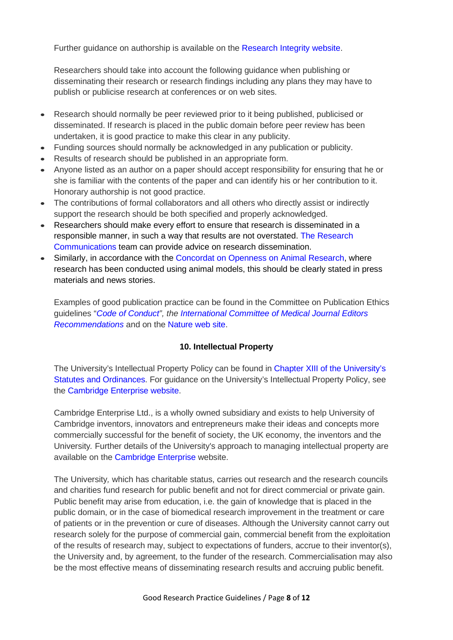Further guidance on authorship is available on the [Research Integrity website.](http://www.research-integrity.admin.cam.ac.uk/research-integrity/guidelines-authorship)

Researchers should take into account the following guidance when publishing or disseminating their research or research findings including any plans they may have to publish or publicise research at conferences or on web sites.

- Research should normally be peer reviewed prior to it being published, publicised or disseminated. If research is placed in the public domain before peer review has been undertaken, it is good practice to make this clear in any publicity.
- Funding sources should normally be acknowledged in any publication or publicity.
- Results of research should be published in an appropriate form.
- Anyone listed as an author on a paper should accept responsibility for ensuring that he or she is familiar with the contents of the paper and can identify his or her contribution to it. Honorary authorship is not good practice.
- The contributions of formal collaborators and all others who directly assist or indirectly support the research should be both specified and properly acknowledged.
- Researchers should make every effort to ensure that research is disseminated in a responsible manner, in such a way that results are not overstated. [The Research](http://www.communications.cam.ac.uk/our-team)  [Communications](http://www.communications.cam.ac.uk/our-team) team can provide advice on research dissemination.
- Similarly, in accordance with the [Concordat on Openness on Animal Research,](http://www.cam.ac.uk/research/research-at-cambridge/animal-research/our-policies/concordat-on-openness-on-animal-research) where research has been conducted using animal models, this should be clearly stated in press materials and news stories.

Examples of good publication practice can be found in the Committee on Publication Ethics guidelines "*Code of [Conduct"](http://publicationethics.org/resources/code-conduct), the [International Committee of Medical Journal Editors](http://www.icmje.org/recommendations/browse/)  [Recommendations](http://www.icmje.org/recommendations/browse/)* and on the [Nature web](http://www.nature.com/authors/policies/publication.html) site.

#### **10. Intellectual Property**

The University's Intellectual Property Policy can be found in [Chapter XIII of the University's](http://www.admin.cam.ac.uk/univ/so/2016/chapter13-front.html)  [Statutes and Ordinances.](http://www.admin.cam.ac.uk/univ/so/2016/chapter13-front.html) For guidance on the University's Intellectual Property Policy, see the [Cambridge Enterprise website.](https://www.enterprise.cam.ac.uk/our-services/academics-researchers-and-students/commercialise-your-research/intellectual-property/)

Cambridge Enterprise Ltd., is a wholly owned subsidiary and exists to help University of Cambridge inventors, innovators and entrepreneurs make their ideas and concepts more commercially successful for the benefit of society, the UK economy, the inventors and the University*.* Further details of the University's approach to managing intellectual property are available on the [Cambridge](http://www.enterprise.cam.ac.uk/university-community/inventions-ip-licensing/) Enterprise website.

The University*,* which has charitable status, carries out research and the research councils and charities fund research for public benefit and not for direct commercial or private gain. Public benefit may arise from education, i.e. the gain of knowledge that is placed in the public domain, or in the case of biomedical research improvement in the treatment or care of patients or in the prevention or cure of diseases. Although the University cannot carry out research solely for the purpose of commercial gain, commercial benefit from the exploitation of the results of research may, subject to expectations of funders, accrue to their inventor(s), the University and, by agreement, to the funder of the research. Commercialisation may also be the most effective means of disseminating research results and accruing public benefit.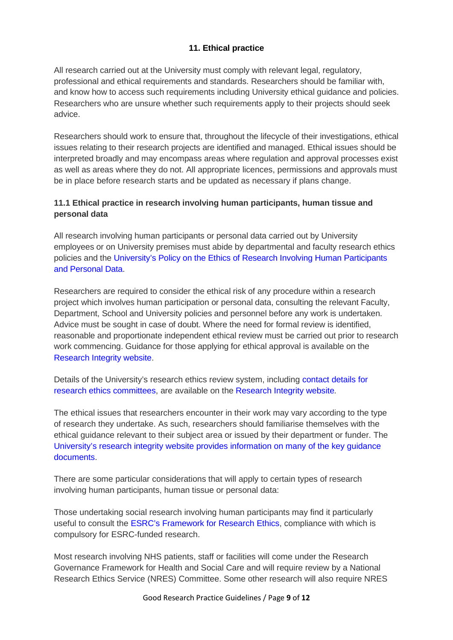# **11. Ethical practice**

All research carried out at the University must comply with relevant legal, regulatory, professional and ethical requirements and standards. Researchers should be familiar with, and know how to access such requirements including University ethical guidance and policies. Researchers who are unsure whether such requirements apply to their projects should seek advice.

Researchers should work to ensure that, throughout the lifecycle of their investigations, ethical issues relating to their research projects are identified and managed. Ethical issues should be interpreted broadly and may encompass areas where regulation and approval processes exist as well as areas where they do not. All appropriate licences, permissions and approvals must be in place before research starts and be updated as necessary if plans change.

# **11.1 Ethical practice in research involving human participants, human tissue and personal data**

All research involving human participants or personal data carried out by University employees or on University premises must abide by departmental and faculty research ethics policies and the [University's Policy on the Ethics of Research Involving Human Participants](https://www.research-integrity.admin.cam.ac.uk/files/policy_on_the_ethics_of_research_involving_human_participants_and_personal_data_oct_2016.pdf)  [and Personal Data.](https://www.research-integrity.admin.cam.ac.uk/files/policy_on_the_ethics_of_research_involving_human_participants_and_personal_data_oct_2016.pdf)

Researchers are required to consider the ethical risk of any procedure within a research project which involves human participation or personal data, consulting the relevant Faculty, Department, School and University policies and personnel before any work is undertaken. Advice must be sought in case of doubt. Where the need for formal review is identified, reasonable and proportionate independent ethical review must be carried out prior to research work commencing. Guidance for those applying for ethical approval is available on the [Research Integrity website.](http://www.research-integrity.admin.cam.ac.uk/research-ethics/ethics-application-guidance)

Details of the University's research ethics review system, including [contact details for](https://www.research-integrity.admin.cam.ac.uk/research-ethics/research-ethics-committees)  [research ethics committees,](https://www.research-integrity.admin.cam.ac.uk/research-ethics/research-ethics-committees) are available on the [Research Integrity website](http://www.research-integrity.admin.cam.ac.uk/)*.* 

The ethical issues that researchers encounter in their work may vary according to the type of research they undertake. As such, researchers should familiarise themselves with the ethical guidance relevant to their subject area or issued by their department or funder. The [University's research integrity website provides information on many of the key guidance](http://www.research-integrity.admin.cam.ac.uk/research-ethics/guidance)  [documents.](http://www.research-integrity.admin.cam.ac.uk/research-ethics/guidance)

There are some particular considerations that will apply to certain types of research involving human participants, human tissue or personal data:

Those undertaking social research involving human participants may find it particularly useful to consult the [ESRC's Framework for Research Ethics,](http://www.esrc.ac.uk/funding/guidance-for-applicants/research-ethics/) compliance with which is compulsory for ESRC-funded research.

Most research involving NHS patients, staff or facilities will come under the Research Governance Framework for Health and Social Care and will require review by a National Research Ethics Service (NRES) Committee. Some other research will also require NRES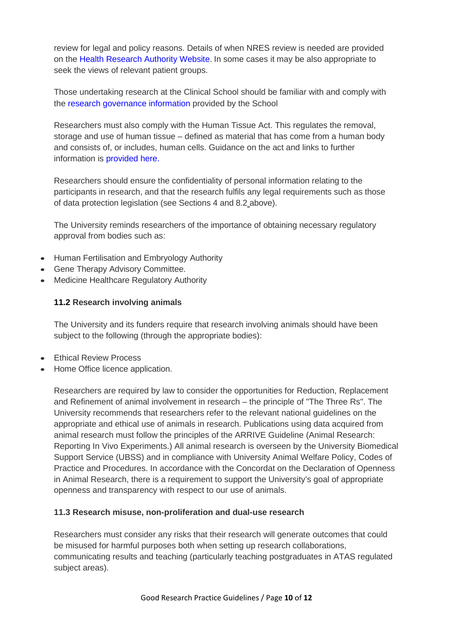review for legal and policy reasons. Details of when NRES review is needed are provided on the [Health Research Authority Website.](http://www.hra.nhs.uk/resources/before-you-apply/is-nhs-rec-review-required/) In some cases it may be also appropriate to seek the views of relevant patient groups.

Those undertaking research at the Clinical School should be familiar with and comply with the [research governance information](http://www.medschl.cam.ac.uk/research/research-governance-information/) provided by the School

Researchers must also comply with the Human Tissue Act. This regulates the removal, storage and use of human tissue – defined as material that has come from a human body and consists of, or includes, human cells. Guidance on the act and links to further information is [provided here.](http://www.research-integrity.admin.cam.ac.uk/research-ethics/guidance/human-tissue-act-2004)

Researchers should ensure the confidentiality of personal information relating to the participants in research, and that the research fulfils any legal requirements such as those of data protection legislation (see Sections 4 and 8.2 above).

The University reminds researchers of the importance of obtaining necessary regulatory approval from bodies such as:

- Human Fertilisation and Embryology Authority
- Gene Therapy Advisory Committee.
- Medicine Healthcare Regulatory Authority

### **11.2 Research involving animals**

The University and its funders require that research involving animals should have been subject to the following (through the appropriate bodies):

- Ethical Review Process
- Home Office licence application.

Researchers are required by law to consider the opportunities for Reduction, Replacement and Refinement of animal involvement in research – the principle of "The Three Rs". The University recommends that researchers refer to the relevant national guidelines on the appropriate and ethical use of animals in research. Publications using data acquired from animal research must follow the principles of the ARRIVE Guideline (Animal Research: Reporting In Vivo Experiments.) All animal research is overseen by the University Biomedical Support Service (UBSS) and in compliance with University Animal Welfare Policy, Codes of Practice and Procedures. In accordance with the Concordat on the Declaration of Openness in Animal Research, there is a requirement to support the University's goal of appropriate openness and transparency with respect to our use of animals.

#### **11.3 Research misuse, non-proliferation and dual-use research**

Researchers must consider any risks that their research will generate outcomes that could be misused for harmful purposes both when setting up research collaborations, communicating results and teaching (particularly teaching postgraduates in ATAS regulated subject areas).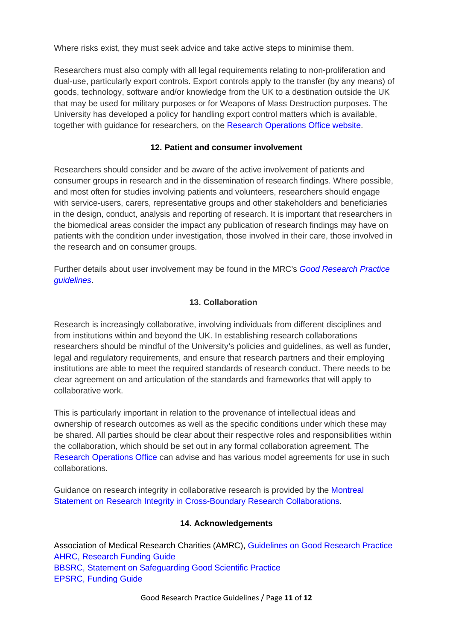Where risks exist, they must seek advice and take active steps to minimise them.

Researchers must also comply with all legal requirements relating to non-proliferation and dual-use, particularly export controls. Export controls apply to the transfer (by any means) of goods, technology, software and/or knowledge from the UK to a destination outside the UK that may be used for military purposes or for Weapons of Mass Destruction purposes. The University has developed a policy for handling export control matters which is available, together with guidance for researchers, on the [Research Operations Office website.](https://www.research-operations.admin.cam.ac.uk/policies/export-control)

### **12. Patient and consumer involvement**

Researchers should consider and be aware of the active involvement of patients and consumer groups in research and in the dissemination of research findings. Where possible, and most often for studies involving patients and volunteers, researchers should engage with service-users, carers, representative groups and other stakeholders and beneficiaries in the design, conduct, analysis and reporting of research. It is important that researchers in the biomedical areas consider the impact any publication of research findings may have on patients with the condition under investigation, those involved in their care, those involved in the research and on consumer groups.

Further details about user involvement may be found in the MRC's *[Good Research Practice](https://www.mrc.ac.uk/publications/browse/good-research-practice-principles-and-guidelines/)  [guidelines](https://www.mrc.ac.uk/publications/browse/good-research-practice-principles-and-guidelines/)*.

## **13. Collaboration**

Research is increasingly collaborative, involving individuals from different disciplines and from institutions within and beyond the UK. In establishing research collaborations researchers should be mindful of the University's policies and guidelines, as well as funder, legal and regulatory requirements, and ensure that research partners and their employing institutions are able to meet the required standards of research conduct. There needs to be clear agreement on and articulation of the standards and frameworks that will apply to collaborative work.

This is particularly important in relation to the provenance of intellectual ideas and ownership of research outcomes as well as the specific conditions under which these may be shared. All parties should be clear about their respective roles and responsibilities within the collaboration, which should be set out in any formal collaboration agreement. The [Research Operations Office](https://www.research-operations.admin.cam.ac.uk/) can advise and has various model agreements for use in such collaborations.

Guidance on research integrity in collaborative research is provided by the [Montreal](http://www.researchintegrity.org/Statements/Montreal%20Statement%20English.pdf)  [Statement on Research Integrity in Cross-Boundary Research Collaborations.](http://www.researchintegrity.org/Statements/Montreal%20Statement%20English.pdf)

#### **14. Acknowledgements**

Association of Medical Research Charities (AMRC), Guidelines on Good Research Practice [AHRC, Research Funding Guide](http://www.ahrc.ac.uk/documents/guides/research-funding-guide/) [BBSRC, Statement on Safeguarding Good Scientific Practice](http://www.bbsrc.ac.uk/organisation/policies/position/policy/good-scientific-practice.aspx)  [EPSRC, Funding Guide](http://www.epsrc.ac.uk/funding/howtoapply/fundingguide/)